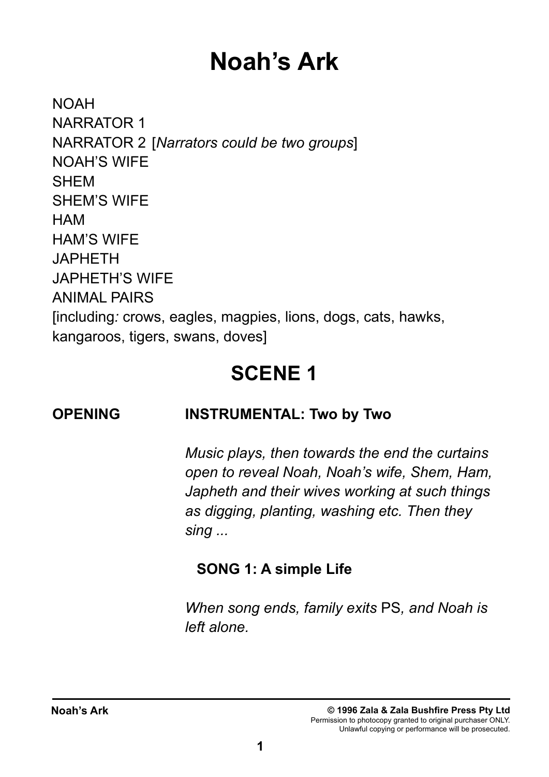# **Noah's Ark**

NOAH NARRATOR 1 NARRATOR 2 [*Narrators could be two groups*] NOAH'S WIFE SHEM SHEM'S WIFE HAM HAM'S WIFE JAPHETH JAPHETH'S WIFE ANIMAL PAIRS [including*:* crows, eagles, magpies, lions, dogs, cats, hawks, kangaroos, tigers, swans, doves]

## **SCENE 1**

### **OPENING INSTRUMENTAL: Two by Two**

 *Music plays, then towards the end the curtains open to reveal Noah, Noah's wife, Shem, Ham, Japheth and their wives working at such things as digging, planting, washing etc. Then they sing ...*

### **SONG 1: A simple Life**

*When song ends, family exits* PS*, and Noah is left alone.*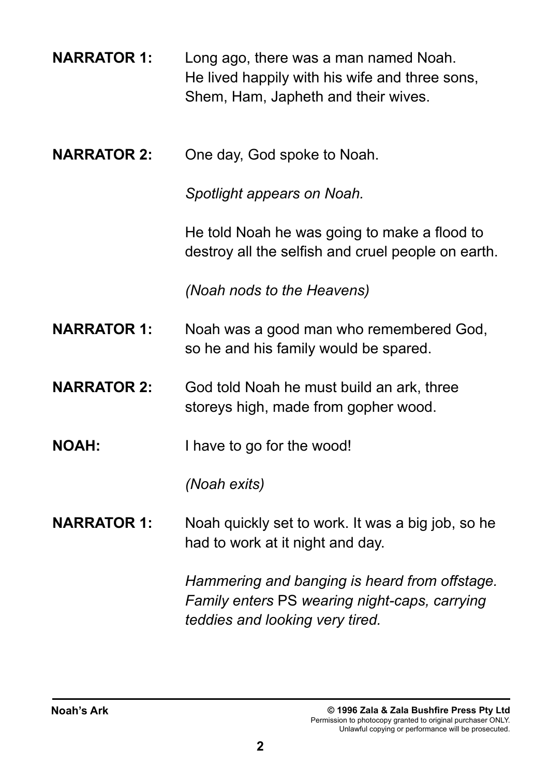| <b>NARRATOR 1:</b> | Long ago, there was a man named Noah.          |
|--------------------|------------------------------------------------|
|                    | He lived happily with his wife and three sons, |
|                    | Shem, Ham, Japheth and their wives.            |

**NARRATOR 2:** One day, God spoke to Noah.

*Spotlight appears on Noah.*

He told Noah he was going to make a flood to destroy all the selfish and cruel people on earth.

*(Noah nods to the Heavens)*

- **NARRATOR 1:** Noah was a good man who remembered God, so he and his family would be spared.
- **NARRATOR 2:** God told Noah he must build an ark, three storeys high, made from gopher wood.
- **NOAH:** I have to go for the wood!

*(Noah exits)*

**NARRATOR 1:** Noah quickly set to work. It was a big job, so he had to work at it night and day.

> *Hammering and banging is heard from offstage. Family enters* PS *wearing night-caps, carrying teddies and looking very tired.*